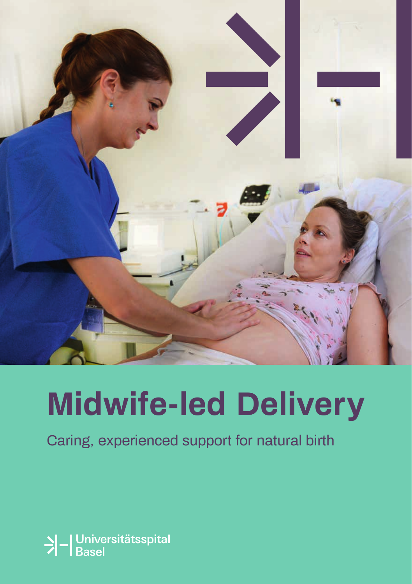

# **Midwife-led Delivery**

Caring, experienced support for natural birth

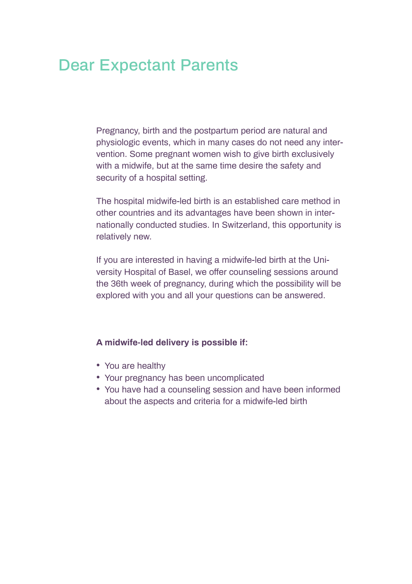## Dear Expectant Parents

Pregnancy, birth and the postpartum period are natural and physiologic events, which in many cases do not need any intervention. Some pregnant women wish to give birth exclusively with a midwife, but at the same time desire the safety and security of a hospital setting.

The hospital midwife-led birth is an established care method in other countries and its advantages have been shown in internationally conducted studies. In Switzerland, this opportunity is relatively new.

If you are interested in having a midwife-led birth at the University Hospital of Basel, we offer counseling sessions around the 36th week of pregnancy, during which the possibility will be explored with you and all your questions can be answered.

#### **A midwife-led delivery is possible if:**

- You are healthy
- Your pregnancy has been uncomplicated
- You have had a counseling session and have been informed about the aspects and criteria for a midwife-led birth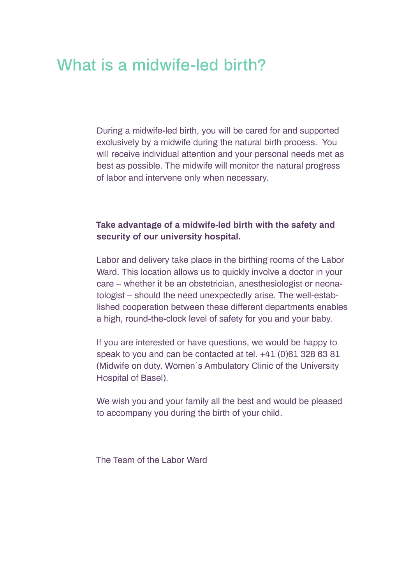## What is a midwife-led birth?

During a midwife-led birth, you will be cared for and supported exclusively by a midwife during the natural birth process. You will receive individual attention and your personal needs met as best as possible. The midwife will monitor the natural progress of labor and intervene only when necessary.

### **Take advantage of a midwife-led birth with the safety and security of our university hospital.**

Labor and delivery take place in the birthing rooms of the Labor Ward. This location allows us to quickly involve a doctor in your care – whether it be an obstetrician, anesthesiologist or neonatologist – should the need unexpectedly arise. The well-established cooperation between these different departments enables a high, round-the-clock level of safety for you and your baby.

If you are interested or have questions, we would be happy to speak to you and can be contacted at tel. +41 (0)61 328 63 81 (Midwife on duty, Women`s Ambulatory Clinic of the University Hospital of Basel).

We wish you and your family all the best and would be pleased to accompany you during the birth of your child.

The Team of the Labor Ward